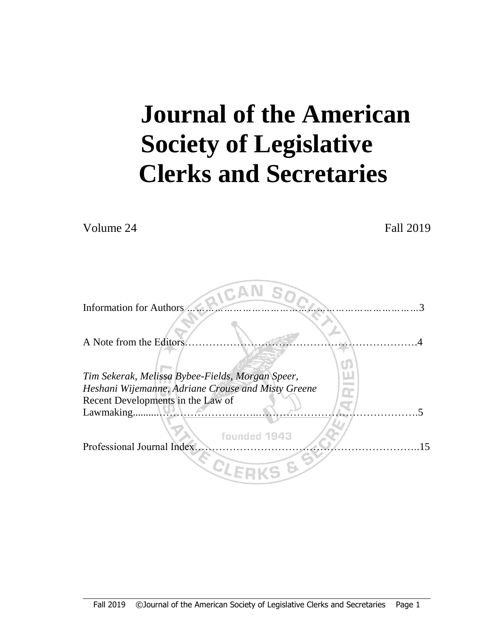# **Journal of the American Society of Legislative Clerks and Secretaries**

Volume 24 Fall 2019

| Information for Authors                            |
|----------------------------------------------------|
|                                                    |
| A Note from the Editors                            |
| Tim Sekerak, Melissa Bybee-Fields, Morgan Speer,   |
| Heshani Wijemanne, Adriane Crouse and Misty Greene |
| Recent Developments in the Law of                  |
| Lawmaking.                                         |
| founded 1943                                       |
| Professional Journal Index                         |
|                                                    |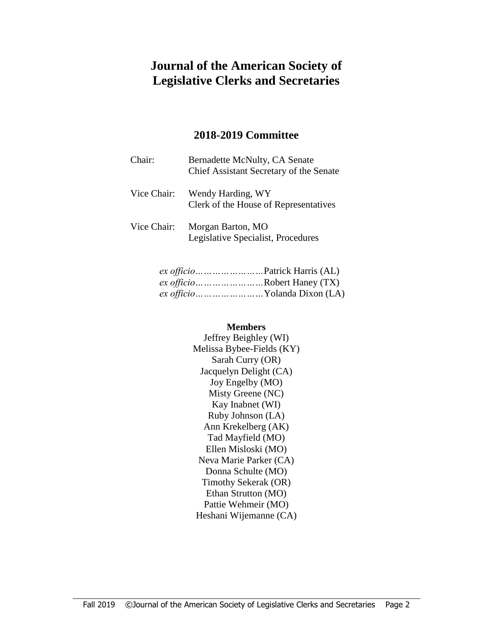# **Journal of the American Society of Legislative Clerks and Secretaries**

#### **2018-2019 Committee**

| Chair:      | Bernadette McNulty, CA Senate<br>Chief Assistant Secretary of the Senate |
|-------------|--------------------------------------------------------------------------|
| Vice Chair: | Wendy Harding, WY<br>Clerk of the House of Representatives               |
| Vice Chair: | Morgan Barton, MO<br>Legislative Specialist, Procedures                  |

| <i>ex officio</i> Robert Haney (TX)  |
|--------------------------------------|
| ex officio        Yolanda Dixon (LA) |

#### **Members**

Jeffrey Beighley (WI) Melissa Bybee-Fields (KY) Sarah Curry (OR) Jacquelyn Delight (CA) Joy Engelby (MO) Misty Greene (NC) Kay Inabnet (WI) Ruby Johnson (LA) Ann Krekelberg (AK) Tad Mayfield (MO) Ellen Misloski (MO) Neva Marie Parker (CA) Donna Schulte (MO) Timothy Sekerak (OR) Ethan Strutton (MO) Pattie Wehmeir (MO) Heshani Wijemanne (CA)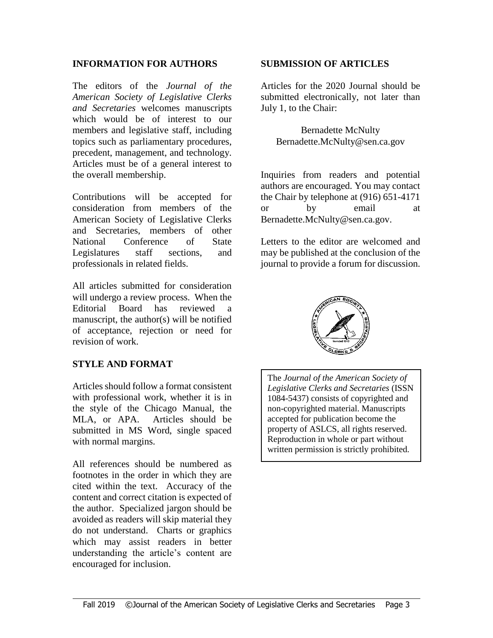#### **INFORMATION FOR AUTHORS**

The editors of the *Journal of the American Society of Legislative Clerks and Secretaries* welcomes manuscripts which would be of interest to our members and legislative staff, including topics such as parliamentary procedures, precedent, management, and technology. Articles must be of a general interest to the overall membership.

Contributions will be accepted for consideration from members of the American Society of Legislative Clerks and Secretaries, members of other National Conference of State Legislatures staff sections, and professionals in related fields.

All articles submitted for consideration will undergo a review process. When the Editorial Board has reviewed a manuscript, the author(s) will be notified of acceptance, rejection or need for revision of work.

#### **STYLE AND FORMAT**

Articles should follow a format consistent with professional work, whether it is in the style of the Chicago Manual, the MLA, or APA. Articles should be submitted in MS Word, single spaced with normal margins.

All references should be numbered as footnotes in the order in which they are cited within the text. Accuracy of the content and correct citation is expected of the author. Specialized jargon should be avoided as readers will skip material they do not understand. Charts or graphics which may assist readers in better understanding the article's content are encouraged for inclusion.

#### **SUBMISSION OF ARTICLES**

Articles for the 2020 Journal should be submitted electronically, not later than July 1, to the Chair:

Bernadette McNulty Bernadette.McNulty@sen.ca.gov

Inquiries from readers and potential authors are encouraged. You may contact the Chair by telephone at (916) 651-4171 or by email at Bernadette.McNulty@sen.ca.gov.

Letters to the editor are welcomed and may be published at the conclusion of the journal to provide a forum for discussion.



The *Journal of the American Society of Legislative Clerks and Secretaries* (ISSN 1084-5437) consists of copyrighted and non-copyrighted material. Manuscripts accepted for publication become the property of ASLCS, all rights reserved. Reproduction in whole or part without written permission is strictly prohibited.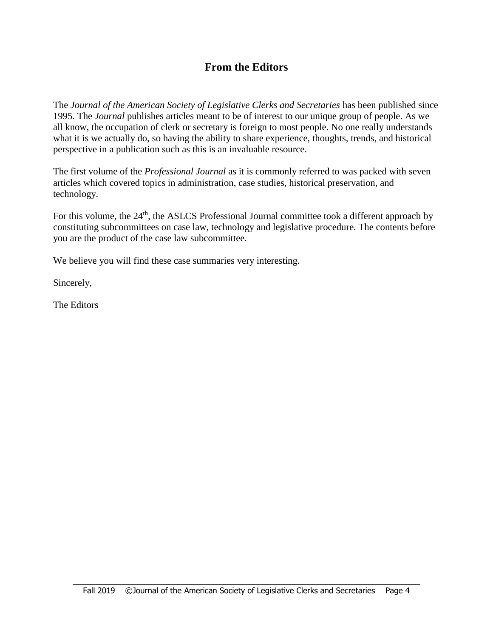# **From the Editors**

The *Journal of the American Society of Legislative Clerks and Secretaries* has been published since 1995. The *Journal* publishes articles meant to be of interest to our unique group of people. As we all know, the occupation of clerk or secretary is foreign to most people. No one really understands what it is we actually do, so having the ability to share experience, thoughts, trends, and historical perspective in a publication such as this is an invaluable resource.

The first volume of the *Professional Journal* as it is commonly referred to was packed with seven articles which covered topics in administration, case studies, historical preservation, and technology.

For this volume, the 24<sup>th</sup>, the ASLCS Professional Journal committee took a different approach by constituting subcommittees on case law, technology and legislative procedure. The contents before you are the product of the case law subcommittee.

We believe you will find these case summaries very interesting.

Sincerely,

The Editors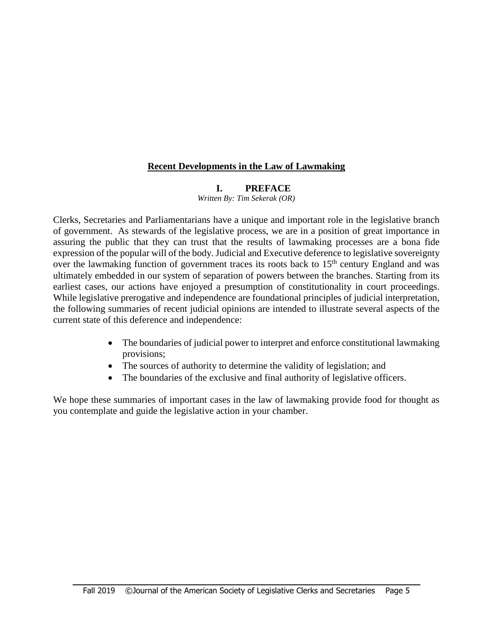#### **Recent Developments in the Law of Lawmaking**

#### **I. PREFACE**

*Written By: Tim Sekerak (OR)*

Clerks, Secretaries and Parliamentarians have a unique and important role in the legislative branch of government. As stewards of the legislative process, we are in a position of great importance in assuring the public that they can trust that the results of lawmaking processes are a bona fide expression of the popular will of the body. Judicial and Executive deference to legislative sovereignty over the lawmaking function of government traces its roots back to  $15<sup>th</sup>$  century England and was ultimately embedded in our system of separation of powers between the branches. Starting from its earliest cases, our actions have enjoyed a presumption of constitutionality in court proceedings. While legislative prerogative and independence are foundational principles of judicial interpretation, the following summaries of recent judicial opinions are intended to illustrate several aspects of the current state of this deference and independence:

- The boundaries of judicial power to interpret and enforce constitutional lawmaking provisions;
- The sources of authority to determine the validity of legislation; and
- The boundaries of the exclusive and final authority of legislative officers.

We hope these summaries of important cases in the law of lawmaking provide food for thought as you contemplate and guide the legislative action in your chamber.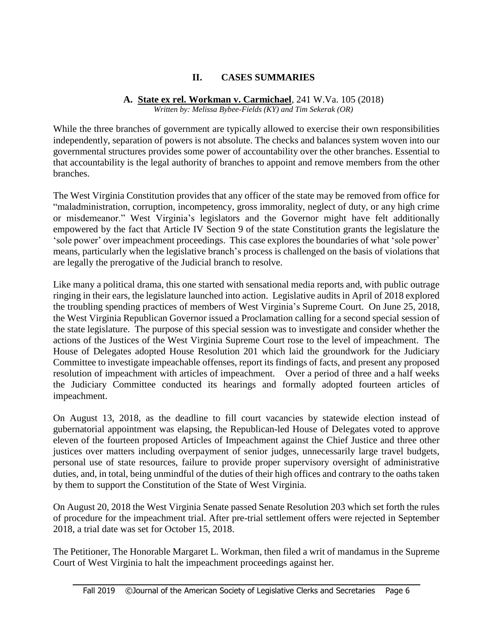### **II. CASES SUMMARIES**

#### **A. State ex rel. Workman v. Carmichael**, 241 W.Va. 105 (2018) *Written by: Melissa Bybee-Fields (KY) and Tim Sekerak (OR)*

While the three branches of government are typically allowed to exercise their own responsibilities independently, separation of powers is not absolute. The checks and balances system woven into our governmental structures provides some power of accountability over the other branches. Essential to that accountability is the legal authority of branches to appoint and remove members from the other branches.

The West Virginia Constitution provides that any officer of the state may be removed from office for "maladministration, corruption, incompetency, gross immorality, neglect of duty, or any high crime or misdemeanor." West Virginia's legislators and the Governor might have felt additionally empowered by the fact that Article IV Section 9 of the state Constitution grants the legislature the 'sole power' over impeachment proceedings. This case explores the boundaries of what 'sole power' means, particularly when the legislative branch's process is challenged on the basis of violations that are legally the prerogative of the Judicial branch to resolve.

Like many a political drama, this one started with sensational media reports and, with public outrage ringing in their ears, the legislature launched into action. Legislative audits in April of 2018 explored the troubling spending practices of members of West Virginia's Supreme Court. On June 25, 2018, the West Virginia Republican Governor issued a Proclamation calling for a second special session of the state legislature. The purpose of this special session was to investigate and consider whether the actions of the Justices of the West Virginia Supreme Court rose to the level of impeachment. The House of Delegates adopted House Resolution 201 which laid the groundwork for the Judiciary Committee to investigate impeachable offenses, report its findings of facts, and present any proposed resolution of impeachment with articles of impeachment. Over a period of three and a half weeks the Judiciary Committee conducted its hearings and formally adopted fourteen articles of impeachment.

On August 13, 2018, as the deadline to fill court vacancies by statewide election instead of gubernatorial appointment was elapsing, the Republican-led House of Delegates voted to approve eleven of the fourteen proposed Articles of Impeachment against the Chief Justice and three other justices over matters including overpayment of senior judges, unnecessarily large travel budgets, personal use of state resources, failure to provide proper supervisory oversight of administrative duties, and, in total, being unmindful of the duties of their high offices and contrary to the oaths taken by them to support the Constitution of the State of West Virginia.

On August 20, 2018 the West Virginia Senate passed Senate Resolution 203 which set forth the rules of procedure for the impeachment trial. After pre-trial settlement offers were rejected in September 2018, a trial date was set for October 15, 2018.

The Petitioner, The Honorable Margaret L. Workman, then filed a writ of mandamus in the Supreme Court of West Virginia to halt the impeachment proceedings against her.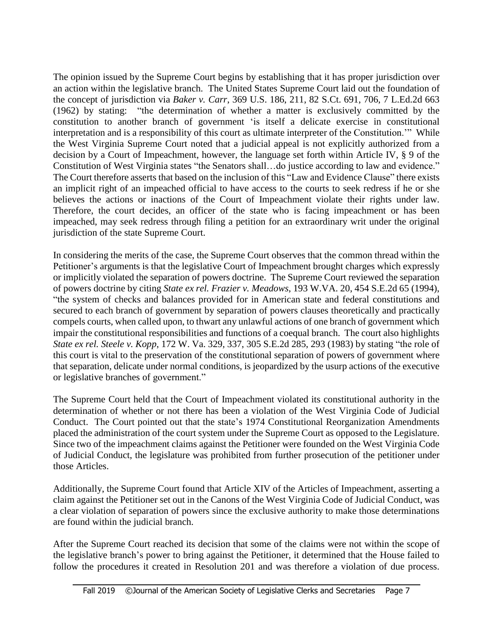The opinion issued by the Supreme Court begins by establishing that it has proper jurisdiction over an action within the legislative branch. The United States Supreme Court laid out the foundation of the concept of jurisdiction via *Baker v. Carr*, 369 U.S. 186, 211, 82 S.Ct. 691, 706, 7 L.Ed.2d 663 (1962) by stating: "the determination of whether a matter is exclusively committed by the constitution to another branch of government 'is itself a delicate exercise in constitutional interpretation and is a responsibility of this court as ultimate interpreter of the Constitution.'" While the West Virginia Supreme Court noted that a judicial appeal is not explicitly authorized from a decision by a Court of Impeachment, however, the language set forth within Article IV, § 9 of the Constitution of West Virginia states "the Senators shall…do justice according to law and evidence." The Court therefore asserts that based on the inclusion of this "Law and Evidence Clause" there exists an implicit right of an impeached official to have access to the courts to seek redress if he or she believes the actions or inactions of the Court of Impeachment violate their rights under law. Therefore, the court decides, an officer of the state who is facing impeachment or has been impeached, may seek redress through filing a petition for an extraordinary writ under the original jurisdiction of the state Supreme Court.

In considering the merits of the case, the Supreme Court observes that the common thread within the Petitioner's arguments is that the legislative Court of Impeachment brought charges which expressly or implicitly violated the separation of powers doctrine. The Supreme Court reviewed the separation of powers doctrine by citing *State ex rel. Frazier v. Meadows*, 193 W.VA. 20, 454 S.E.2d 65 (1994), "the system of checks and balances provided for in American state and federal constitutions and secured to each branch of government by separation of powers clauses theoretically and practically compels courts, when called upon, to thwart any unlawful actions of one branch of government which impair the constitutional responsibilities and functions of a coequal branch. The court also highlights *State ex rel. Steele v. Kopp*, 172 W. Va. 329, 337, 305 S.E.2d 285, 293 (1983) by stating "the role of this court is vital to the preservation of the constitutional separation of powers of government where that separation, delicate under normal conditions, is jeopardized by the usurp actions of the executive or legislative branches of government."

The Supreme Court held that the Court of Impeachment violated its constitutional authority in the determination of whether or not there has been a violation of the West Virginia Code of Judicial Conduct. The Court pointed out that the state's 1974 Constitutional Reorganization Amendments placed the administration of the court system under the Supreme Court as opposed to the Legislature. Since two of the impeachment claims against the Petitioner were founded on the West Virginia Code of Judicial Conduct, the legislature was prohibited from further prosecution of the petitioner under those Articles.

Additionally, the Supreme Court found that Article XIV of the Articles of Impeachment, asserting a claim against the Petitioner set out in the Canons of the West Virginia Code of Judicial Conduct, was a clear violation of separation of powers since the exclusive authority to make those determinations are found within the judicial branch.

After the Supreme Court reached its decision that some of the claims were not within the scope of the legislative branch's power to bring against the Petitioner, it determined that the House failed to follow the procedures it created in Resolution 201 and was therefore a violation of due process.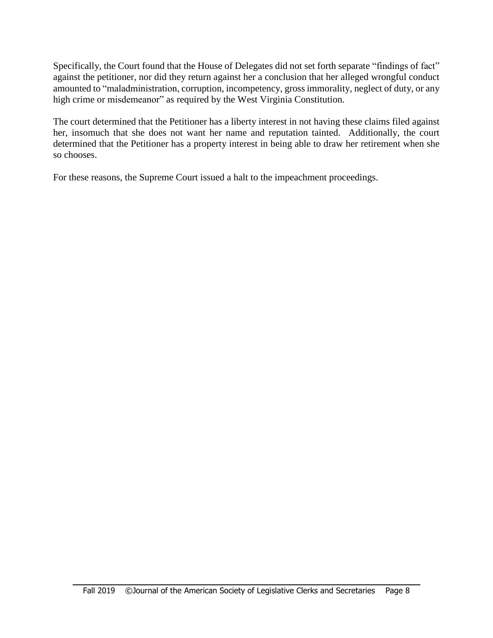Specifically, the Court found that the House of Delegates did not set forth separate "findings of fact" against the petitioner, nor did they return against her a conclusion that her alleged wrongful conduct amounted to "maladministration, corruption, incompetency, gross immorality, neglect of duty, or any high crime or misdemeanor" as required by the West Virginia Constitution.

The court determined that the Petitioner has a liberty interest in not having these claims filed against her, insomuch that she does not want her name and reputation tainted. Additionally, the court determined that the Petitioner has a property interest in being able to draw her retirement when she so chooses.

For these reasons, the Supreme Court issued a halt to the impeachment proceedings.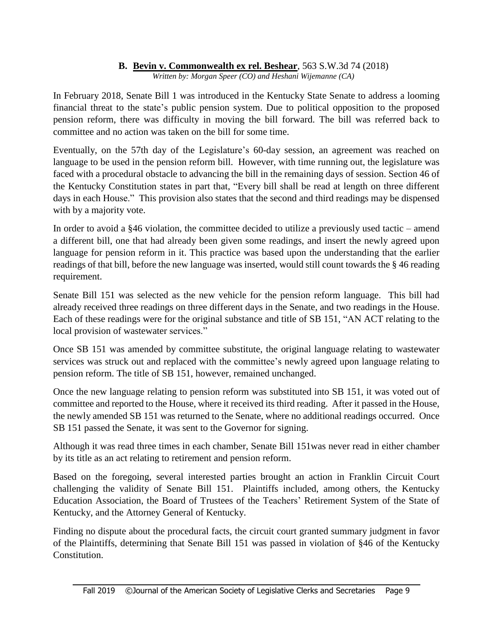# **B. Bevin v. Commonwealth ex rel. Beshear**, 563 S.W.3d 74 (2018)

*Written by: Morgan Speer (CO) and Heshani Wijemanne (CA)*

In February 2018, Senate Bill 1 was introduced in the Kentucky State Senate to address a looming financial threat to the state's public pension system. Due to political opposition to the proposed pension reform, there was difficulty in moving the bill forward. The bill was referred back to committee and no action was taken on the bill for some time.

Eventually, on the 57th day of the Legislature's 60-day session, an agreement was reached on language to be used in the pension reform bill. However, with time running out, the legislature was faced with a procedural obstacle to advancing the bill in the remaining days of session. Section 46 of the Kentucky Constitution states in part that, "Every bill shall be read at length on three different days in each House." This provision also states that the second and third readings may be dispensed with by a majority vote.

In order to avoid a §46 violation, the committee decided to utilize a previously used tactic – amend a different bill, one that had already been given some readings, and insert the newly agreed upon language for pension reform in it. This practice was based upon the understanding that the earlier readings of that bill, before the new language was inserted, would still count towards the § 46 reading requirement.

Senate Bill 151 was selected as the new vehicle for the pension reform language. This bill had already received three readings on three different days in the Senate, and two readings in the House. Each of these readings were for the original substance and title of SB 151, "AN ACT relating to the local provision of wastewater services."

Once SB 151 was amended by committee substitute, the original language relating to wastewater services was struck out and replaced with the committee's newly agreed upon language relating to pension reform. The title of SB 151, however, remained unchanged.

Once the new language relating to pension reform was substituted into SB 151, it was voted out of committee and reported to the House, where it received its third reading. After it passed in the House, the newly amended SB 151 was returned to the Senate, where no additional readings occurred. Once SB 151 passed the Senate, it was sent to the Governor for signing.

Although it was read three times in each chamber, Senate Bill 151was never read in either chamber by its title as an act relating to retirement and pension reform.

Based on the foregoing, several interested parties brought an action in Franklin Circuit Court challenging the validity of Senate Bill 151. Plaintiffs included, among others, the Kentucky Education Association, the Board of Trustees of the Teachers' Retirement System of the State of Kentucky, and the Attorney General of Kentucky.

Finding no dispute about the procedural facts, the circuit court granted summary judgment in favor of the Plaintiffs, determining that Senate Bill 151 was passed in violation of §46 of the Kentucky Constitution.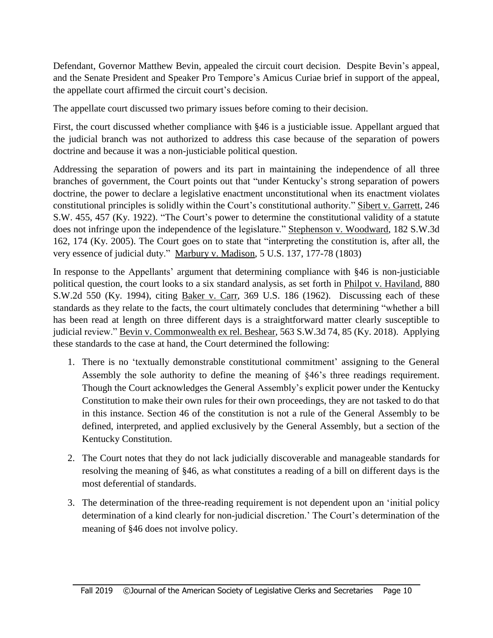Defendant, Governor Matthew Bevin, appealed the circuit court decision. Despite Bevin's appeal, and the Senate President and Speaker Pro Tempore's Amicus Curiae brief in support of the appeal, the appellate court affirmed the circuit court's decision.

The appellate court discussed two primary issues before coming to their decision.

First, the court discussed whether compliance with §46 is a justiciable issue. Appellant argued that the judicial branch was not authorized to address this case because of the separation of powers doctrine and because it was a non-justiciable political question.

Addressing the separation of powers and its part in maintaining the independence of all three branches of government, the Court points out that "under Kentucky's strong separation of powers doctrine, the power to declare a legislative enactment unconstitutional when its enactment violates constitutional principles is solidly within the Court's constitutional authority." Sibert v. Garrett, 246 S.W. 455, 457 (Ky. 1922). "The Court's power to determine the constitutional validity of a statute does not infringe upon the independence of the legislature." Stephenson v. Woodward, 182 S.W.3d 162, 174 (Ky. 2005). The Court goes on to state that "interpreting the constitution is, after all, the very essence of judicial duty." Marbury v. Madison, 5 U.S. 137, 177-78 (1803)

In response to the Appellants' argument that determining compliance with §46 is non-justiciable political question, the court looks to a six standard analysis, as set forth in Philpot v. Haviland, 880 S.W.2d 550 (Ky. 1994), citing Baker v. Carr, 369 U.S. 186 (1962). Discussing each of these standards as they relate to the facts, the court ultimately concludes that determining "whether a bill has been read at length on three different days is a straightforward matter clearly susceptible to judicial review." Bevin v. Commonwealth ex rel. Beshear, 563 S.W.3d 74, 85 (Ky. 2018). Applying these standards to the case at hand, the Court determined the following:

- 1. There is no 'textually demonstrable constitutional commitment' assigning to the General Assembly the sole authority to define the meaning of §46's three readings requirement. Though the Court acknowledges the General Assembly's explicit power under the Kentucky Constitution to make their own rules for their own proceedings, they are not tasked to do that in this instance. Section 46 of the constitution is not a rule of the General Assembly to be defined, interpreted, and applied exclusively by the General Assembly, but a section of the Kentucky Constitution.
- 2. The Court notes that they do not lack judicially discoverable and manageable standards for resolving the meaning of §46, as what constitutes a reading of a bill on different days is the most deferential of standards.
- 3. The determination of the three-reading requirement is not dependent upon an 'initial policy determination of a kind clearly for non-judicial discretion.' The Court's determination of the meaning of §46 does not involve policy.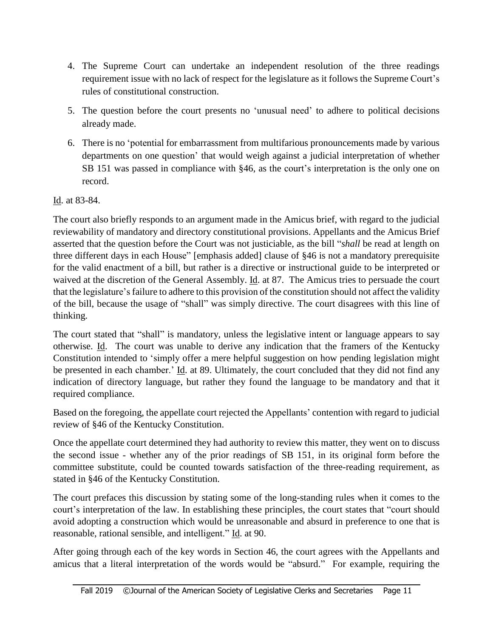- 4. The Supreme Court can undertake an independent resolution of the three readings requirement issue with no lack of respect for the legislature as it follows the Supreme Court's rules of constitutional construction.
- 5. The question before the court presents no 'unusual need' to adhere to political decisions already made.
- 6. There is no 'potential for embarrassment from multifarious pronouncements made by various departments on one question' that would weigh against a judicial interpretation of whether SB 151 was passed in compliance with §46, as the court's interpretation is the only one on record.

Id. at 83-84.

The court also briefly responds to an argument made in the Amicus brief, with regard to the judicial reviewability of mandatory and directory constitutional provisions. Appellants and the Amicus Brief asserted that the question before the Court was not justiciable, as the bill "*shall* be read at length on three different days in each House" [emphasis added] clause of §46 is not a mandatory prerequisite for the valid enactment of a bill, but rather is a directive or instructional guide to be interpreted or waived at the discretion of the General Assembly. Id. at 87. The Amicus tries to persuade the court that the legislature's failure to adhere to this provision of the constitution should not affect the validity of the bill, because the usage of "shall" was simply directive. The court disagrees with this line of thinking.

The court stated that "shall" is mandatory, unless the legislative intent or language appears to say otherwise. Id. The court was unable to derive any indication that the framers of the Kentucky Constitution intended to 'simply offer a mere helpful suggestion on how pending legislation might be presented in each chamber.' Id. at 89. Ultimately, the court concluded that they did not find any indication of directory language, but rather they found the language to be mandatory and that it required compliance.

Based on the foregoing, the appellate court rejected the Appellants' contention with regard to judicial review of §46 of the Kentucky Constitution.

Once the appellate court determined they had authority to review this matter, they went on to discuss the second issue - whether any of the prior readings of SB 151, in its original form before the committee substitute, could be counted towards satisfaction of the three-reading requirement, as stated in §46 of the Kentucky Constitution.

The court prefaces this discussion by stating some of the long-standing rules when it comes to the court's interpretation of the law. In establishing these principles, the court states that "court should avoid adopting a construction which would be unreasonable and absurd in preference to one that is reasonable, rational sensible, and intelligent." Id. at 90.

After going through each of the key words in Section 46, the court agrees with the Appellants and amicus that a literal interpretation of the words would be "absurd." For example, requiring the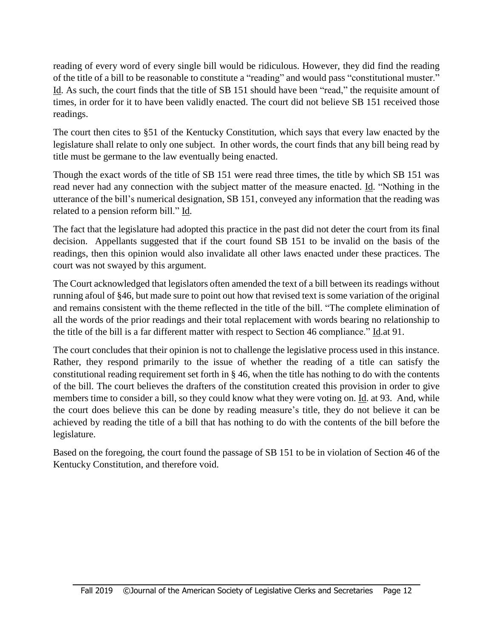reading of every word of every single bill would be ridiculous. However, they did find the reading of the title of a bill to be reasonable to constitute a "reading" and would pass "constitutional muster." Id. As such, the court finds that the title of SB 151 should have been "read," the requisite amount of times, in order for it to have been validly enacted. The court did not believe SB 151 received those readings.

The court then cites to §51 of the Kentucky Constitution, which says that every law enacted by the legislature shall relate to only one subject. In other words, the court finds that any bill being read by title must be germane to the law eventually being enacted.

Though the exact words of the title of SB 151 were read three times, the title by which SB 151 was read never had any connection with the subject matter of the measure enacted. Id. "Nothing in the utterance of the bill's numerical designation, SB 151, conveyed any information that the reading was related to a pension reform bill." Id.

The fact that the legislature had adopted this practice in the past did not deter the court from its final decision. Appellants suggested that if the court found SB 151 to be invalid on the basis of the readings, then this opinion would also invalidate all other laws enacted under these practices. The court was not swayed by this argument.

The Court acknowledged that legislators often amended the text of a bill between its readings without running afoul of §46, but made sure to point out how that revised text is some variation of the original and remains consistent with the theme reflected in the title of the bill. "The complete elimination of all the words of the prior readings and their total replacement with words bearing no relationship to the title of the bill is a far different matter with respect to Section 46 compliance." Id.at 91.

The court concludes that their opinion is not to challenge the legislative process used in this instance. Rather, they respond primarily to the issue of whether the reading of a title can satisfy the constitutional reading requirement set forth in § 46, when the title has nothing to do with the contents of the bill. The court believes the drafters of the constitution created this provision in order to give members time to consider a bill, so they could know what they were voting on. Id. at 93. And, while the court does believe this can be done by reading measure's title, they do not believe it can be achieved by reading the title of a bill that has nothing to do with the contents of the bill before the legislature.

Based on the foregoing, the court found the passage of SB 151 to be in violation of Section 46 of the Kentucky Constitution, and therefore void.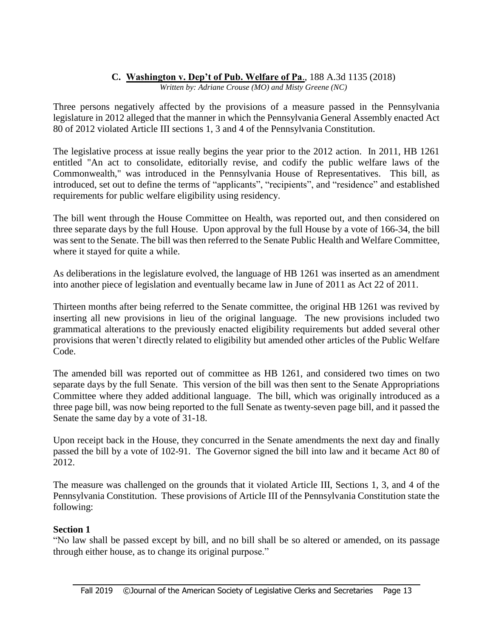### **C. Washington v. Dep't of Pub. Welfare of Pa**., 188 A.3d 1135 (2018)

*Written by: Adriane Crouse (MO) and Misty Greene (NC)*

Three persons negatively affected by the provisions of a measure passed in the Pennsylvania legislature in 2012 alleged that the manner in which the Pennsylvania General Assembly enacted Act 80 of 2012 violated Article III sections 1, 3 and 4 of the Pennsylvania Constitution.

The legislative process at issue really begins the year prior to the 2012 action. In 2011, HB 1261 entitled "An act to consolidate, editorially revise, and codify the public welfare laws of the Commonwealth," was introduced in the Pennsylvania House of Representatives. This bill, as introduced, set out to define the terms of "applicants", "recipients", and "residence" and established requirements for public welfare eligibility using residency.

The bill went through the House Committee on Health, was reported out, and then considered on three separate days by the full House. Upon approval by the full House by a vote of 166-34, the bill was sent to the Senate. The bill was then referred to the Senate Public Health and Welfare Committee, where it stayed for quite a while.

As deliberations in the legislature evolved, the language of HB 1261 was inserted as an amendment into another piece of legislation and eventually became law in June of 2011 as Act 22 of 2011.

Thirteen months after being referred to the Senate committee, the original HB 1261 was revived by inserting all new provisions in lieu of the original language. The new provisions included two grammatical alterations to the previously enacted eligibility requirements but added several other provisions that weren't directly related to eligibility but amended other articles of the Public Welfare Code.

The amended bill was reported out of committee as HB 1261, and considered two times on two separate days by the full Senate. This version of the bill was then sent to the Senate Appropriations Committee where they added additional language. The bill, which was originally introduced as a three page bill, was now being reported to the full Senate as twenty-seven page bill, and it passed the Senate the same day by a vote of 31-18.

Upon receipt back in the House, they concurred in the Senate amendments the next day and finally passed the bill by a vote of 102-91. The Governor signed the bill into law and it became Act 80 of 2012.

The measure was challenged on the grounds that it violated Article III, Sections 1, 3, and 4 of the Pennsylvania Constitution. These provisions of Article III of the Pennsylvania Constitution state the following:

#### **Section 1**

"No law shall be passed except by bill, and no bill shall be so altered or amended, on its passage through either house, as to change its original purpose."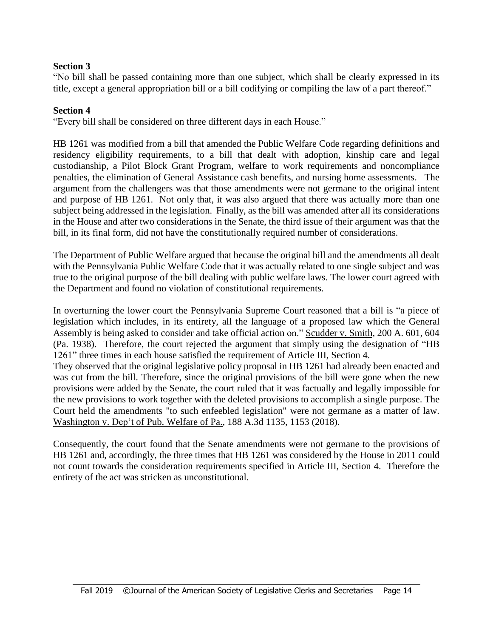#### **Section 3**

"No bill shall be passed containing more than one subject, which shall be clearly expressed in its title, except a general appropriation bill or a bill codifying or compiling the law of a part thereof."

#### **Section 4**

"Every bill shall be considered on three different days in each House."

HB 1261 was modified from a bill that amended the Public Welfare Code regarding definitions and residency eligibility requirements, to a bill that dealt with adoption, kinship care and legal custodianship, a Pilot Block Grant Program, welfare to work requirements and noncompliance penalties, the elimination of General Assistance cash benefits, and nursing home assessments. The argument from the challengers was that those amendments were not germane to the original intent and purpose of HB 1261. Not only that, it was also argued that there was actually more than one subject being addressed in the legislation. Finally, as the bill was amended after all its considerations in the House and after two considerations in the Senate, the third issue of their argument was that the bill, in its final form, did not have the constitutionally required number of considerations.

The Department of Public Welfare argued that because the original bill and the amendments all dealt with the Pennsylvania Public Welfare Code that it was actually related to one single subject and was true to the original purpose of the bill dealing with public welfare laws. The lower court agreed with the Department and found no violation of constitutional requirements.

In overturning the lower court the Pennsylvania Supreme Court reasoned that a bill is "a piece of legislation which includes, in its entirety, all the language of a proposed law which the General Assembly is being asked to consider and take official action on." Scudder v. Smith*,* 200 A. 601, 604 (Pa. 1938). Therefore, the court rejected the argument that simply using the designation of "HB 1261" three times in each house satisfied the requirement of Article III, Section 4.

They observed that the original legislative policy proposal in HB 1261 had already been enacted and was cut from the bill. Therefore, since the original provisions of the bill were gone when the new provisions were added by the Senate, the court ruled that it was factually and legally impossible for the new provisions to work together with the deleted provisions to accomplish a single purpose. The Court held the amendments "to such enfeebled legislation" were not germane as a matter of law. Washington v. Dep't of Pub. Welfare of Pa., 188 A.3d 1135, 1153 (2018).

Consequently, the court found that the Senate amendments were not germane to the provisions of HB 1261 and, accordingly, the three times that HB 1261 was considered by the House in 2011 could not count towards the consideration requirements specified in Article III, Section 4. Therefore the entirety of the act was stricken as unconstitutional.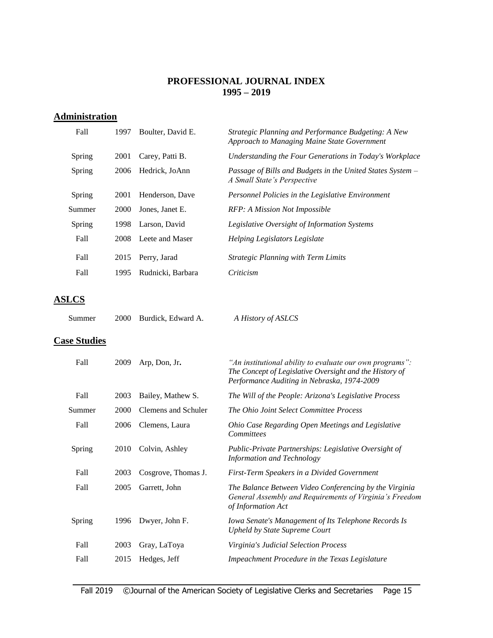#### **PROFESSIONAL JOURNAL INDEX 1995 – 2019**

### **Administration**

| Fall   | 1997  | Boulter, David E. | Strategic Planning and Performance Budgeting: A New<br>Approach to Managing Maine State Government |
|--------|-------|-------------------|----------------------------------------------------------------------------------------------------|
| Spring | 2001  | Carey, Patti B.   | Understanding the Four Generations in Today's Workplace                                            |
| Spring | 2006  | Hedrick, JoAnn    | Passage of Bills and Budgets in the United States System –<br>A Small State's Perspective          |
| Spring | 2001  | Henderson, Dave   | Personnel Policies in the Legislative Environment                                                  |
| Summer | 2000  | Jones, Janet E.   | RFP: A Mission Not Impossible                                                                      |
| Spring | 1998. | Larson, David     | Legislative Oversight of Information Systems                                                       |
| Fall   | 2008  | Leete and Maser   | Helping Legislators Legislate                                                                      |
| Fall   | 2015  | Perry, Jarad      | <b>Strategic Planning with Term Limits</b>                                                         |
| Fall   | 1995  | Rudnicki, Barbara | Criticism                                                                                          |

## **ASLCS**

| Summer | 2000 Burdick, Edward A. | A History of ASLCS |
|--------|-------------------------|--------------------|
|        |                         |                    |

#### **Case Studies**

| Fall   | 2009 | Arp, Don, Jr.       | "An institutional ability to evaluate our own programs":<br>The Concept of Legislative Oversight and the History of<br>Performance Auditing in Nebraska, 1974-2009 |
|--------|------|---------------------|--------------------------------------------------------------------------------------------------------------------------------------------------------------------|
| Fall   | 2003 | Bailey, Mathew S.   | The Will of the People: Arizona's Legislative Process                                                                                                              |
| Summer | 2000 | Clemens and Schuler | The Ohio Joint Select Committee Process                                                                                                                            |
| Fall   | 2006 | Clemens, Laura      | Ohio Case Regarding Open Meetings and Legislative<br><b>Committees</b>                                                                                             |
| Spring | 2010 | Colvin, Ashley      | Public-Private Partnerships: Legislative Oversight of<br><b>Information and Technology</b>                                                                         |
| Fall   | 2003 | Cosgrove, Thomas J. | First-Term Speakers in a Divided Government                                                                                                                        |
| Fall   | 2005 | Garrett, John       | The Balance Between Video Conferencing by the Virginia<br>General Assembly and Requirements of Virginia's Freedom<br>of Information Act                            |
| Spring | 1996 | Dwyer, John F.      | Iowa Senate's Management of Its Telephone Records Is<br><b>Upheld by State Supreme Court</b>                                                                       |
| Fall   | 2003 | Gray, LaToya        | Virginia's Judicial Selection Process                                                                                                                              |
| Fall   | 2015 | Hedges, Jeff        | Impeachment Procedure in the Texas Legislature                                                                                                                     |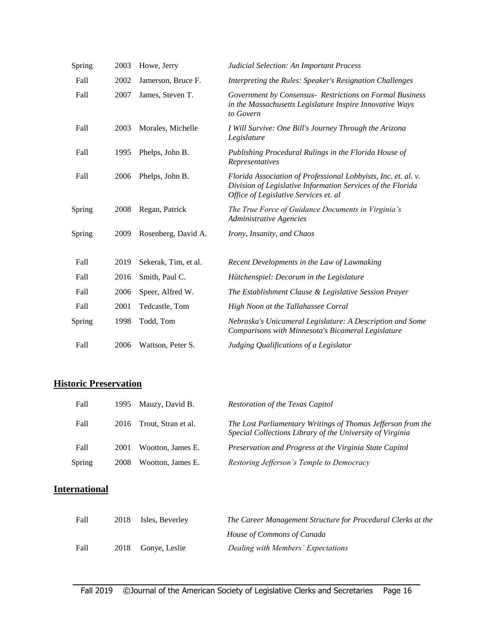| Spring | 2003 | Howe, Jerry          | Judicial Selection: An Important Process                                                                                                                               |
|--------|------|----------------------|------------------------------------------------------------------------------------------------------------------------------------------------------------------------|
| Fall   | 2002 | Jamerson, Bruce F.   | Interpreting the Rules: Speaker's Resignation Challenges                                                                                                               |
| Fall   | 2007 | James, Steven T.     | Government by Consensus- Restrictions on Formal Business<br>in the Massachusetts Legislature Inspire Innovative Ways<br>to Govern                                      |
| Fall   | 2003 | Morales, Michelle    | I Will Survive: One Bill's Journey Through the Arizona<br>Legislature                                                                                                  |
| Fall   | 1995 | Phelps, John B.      | Publishing Procedural Rulings in the Florida House of<br>Representatives                                                                                               |
| Fall   | 2006 | Phelps, John B.      | Florida Association of Professional Lobbyists, Inc. et. al. v.<br>Division of Legislative Information Services of the Florida<br>Office of Legislative Services et. al |
| Spring | 2008 | Regan, Patrick       | The True Force of Guidance Documents in Virginia's<br><b>Administrative Agencies</b>                                                                                   |
| Spring | 2009 | Rosenberg, David A.  | Irony, Insanity, and Chaos                                                                                                                                             |
| Fall   | 2019 | Sekerak, Tim, et al. | Recent Developments in the Law of Lawmaking                                                                                                                            |
| Fall   | 2016 | Smith, Paul C.       | Hütchenspiel: Decorum in the Legislature                                                                                                                               |
| Fall   | 2006 | Speer, Alfred W.     | The Establishment Clause & Legislative Session Prayer                                                                                                                  |
| Fall   | 2001 | Tedcastle, Tom       | High Noon at the Tallahassee Corral                                                                                                                                    |
| Spring | 1998 | Todd, Tom            | Nebraska's Unicameral Legislature: A Description and Some<br>Comparisons with Minnesota's Bicameral Legislature                                                        |
| Fall   | 2006 | Wattson, Peter S.    | Judging Qualifications of a Legislator                                                                                                                                 |
|        |      |                      |                                                                                                                                                                        |

# **Historic Preservation**

| Fall          |      | 1995 Mauzy, David B.     | Restoration of the Texas Capitol                                                                                          |
|---------------|------|--------------------------|---------------------------------------------------------------------------------------------------------------------------|
| Fall          |      | 2016 Trout, Stran et al. | The Lost Parliamentary Writings of Thomas Jefferson from the<br>Special Collections Library of the University of Virginia |
| Fall          | 2001 | Wootton. James E.        | Preservation and Progress at the Virginia State Capitol                                                                   |
| <b>Spring</b> | 2008 | Wootton, James E.        | Restoring Jefferson's Temple to Democracy                                                                                 |

# **International**

| Fall | 2018 Isles, Beverley | The Career Management Structure for Procedural Clerks at the |
|------|----------------------|--------------------------------------------------------------|
|      |                      | House of Commons of Canada                                   |
| Fall | 2018 Gonye, Leslie   | Dealing with Members' Expectations                           |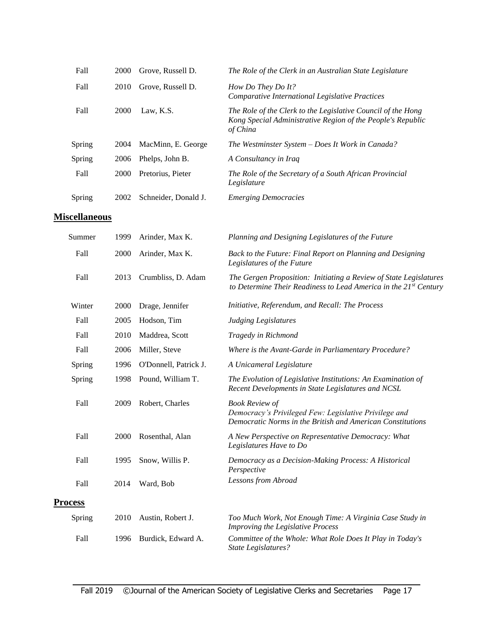| Fall   | 2000        | Grove, Russell D.    | The Role of the Clerk in an Australian State Legislature                                                                                |
|--------|-------------|----------------------|-----------------------------------------------------------------------------------------------------------------------------------------|
| Fall   | 2010        | Grove, Russell D.    | How Do They Do It?<br>Comparative International Legislative Practices                                                                   |
| Fall   | <b>2000</b> | Law, K.S.            | The Role of the Clerk to the Legislative Council of the Hong<br>Kong Special Administrative Region of the People's Republic<br>of China |
| Spring | 2004        | MacMinn, E. George   | The Westminster System – Does It Work in Canada?                                                                                        |
| Spring | 2006        | Phelps, John B.      | A Consultancy in Iraq                                                                                                                   |
| Fall   | <b>2000</b> | Pretorius, Pieter    | The Role of the Secretary of a South African Provincial<br>Legislature                                                                  |
| Spring | 2002        | Schneider, Donald J. | <b>Emerging Democracies</b>                                                                                                             |

#### **Miscellaneous**

| Summer         | 1999 | Arinder, Max K.       | Planning and Designing Legislatures of the Future                                                                                            |
|----------------|------|-----------------------|----------------------------------------------------------------------------------------------------------------------------------------------|
| Fall           | 2000 | Arinder, Max K.       | Back to the Future: Final Report on Planning and Designing<br>Legislatures of the Future                                                     |
| Fall           | 2013 | Crumbliss, D. Adam    | The Gergen Proposition: Initiating a Review of State Legislatures<br>to Determine Their Readiness to Lead America in the 21st Century        |
| Winter         | 2000 | Drage, Jennifer       | Initiative, Referendum, and Recall: The Process                                                                                              |
| Fall           | 2005 | Hodson, Tim           | <b>Judging Legislatures</b>                                                                                                                  |
| Fall           | 2010 | Maddrea, Scott        | Tragedy in Richmond                                                                                                                          |
| Fall           | 2006 | Miller, Steve         | Where is the Avant-Garde in Parliamentary Procedure?                                                                                         |
| Spring         | 1996 | O'Donnell, Patrick J. | A Unicameral Legislature                                                                                                                     |
| Spring         | 1998 | Pound, William T.     | The Evolution of Legislative Institutions: An Examination of<br>Recent Developments in State Legislatures and NCSL                           |
| Fall           | 2009 | Robert, Charles       | <b>Book Review of</b><br>Democracy's Privileged Few: Legislative Privilege and<br>Democratic Norms in the British and American Constitutions |
| Fall           | 2000 | Rosenthal, Alan       | A New Perspective on Representative Democracy: What<br>Legislatures Have to Do                                                               |
| Fall           | 1995 | Snow, Willis P.       | Democracy as a Decision-Making Process: A Historical<br>Perspective                                                                          |
| Fall           | 2014 | Ward, Bob             | Lessons from Abroad                                                                                                                          |
| <b>Process</b> |      |                       |                                                                                                                                              |
| Spring         | 2010 | Austin, Robert J.     | Too Much Work, Not Enough Time: A Virginia Case Study in<br>Improving the Legislative Process                                                |
| Fall           | 1996 | Burdick, Edward A.    | Committee of the Whole: What Role Does It Play in Today's<br><b>State Legislatures?</b>                                                      |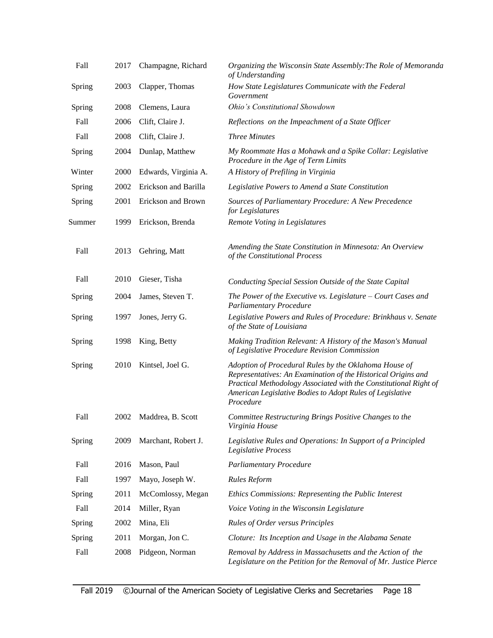| Fall   | 2017 | Champagne, Richard   | Organizing the Wisconsin State Assembly: The Role of Memoranda<br>of Understanding                                                                                                                                                                                    |
|--------|------|----------------------|-----------------------------------------------------------------------------------------------------------------------------------------------------------------------------------------------------------------------------------------------------------------------|
| Spring | 2003 | Clapper, Thomas      | How State Legislatures Communicate with the Federal<br>Government                                                                                                                                                                                                     |
| Spring | 2008 | Clemens, Laura       | Ohio's Constitutional Showdown                                                                                                                                                                                                                                        |
| Fall   | 2006 | Clift, Claire J.     | Reflections on the Impeachment of a State Officer                                                                                                                                                                                                                     |
| Fall   | 2008 | Clift, Claire J.     | <b>Three Minutes</b>                                                                                                                                                                                                                                                  |
| Spring | 2004 | Dunlap, Matthew      | My Roommate Has a Mohawk and a Spike Collar: Legislative<br>Procedure in the Age of Term Limits                                                                                                                                                                       |
| Winter | 2000 | Edwards, Virginia A. | A History of Prefiling in Virginia                                                                                                                                                                                                                                    |
| Spring | 2002 | Erickson and Barilla | Legislative Powers to Amend a State Constitution                                                                                                                                                                                                                      |
| Spring | 2001 | Erickson and Brown   | Sources of Parliamentary Procedure: A New Precedence<br>for Legislatures                                                                                                                                                                                              |
| Summer | 1999 | Erickson, Brenda     | Remote Voting in Legislatures                                                                                                                                                                                                                                         |
| Fall   | 2013 | Gehring, Matt        | Amending the State Constitution in Minnesota: An Overview<br>of the Constitutional Process                                                                                                                                                                            |
| Fall   | 2010 | Gieser, Tisha        | Conducting Special Session Outside of the State Capital                                                                                                                                                                                                               |
| Spring | 2004 | James, Steven T.     | The Power of the Executive vs. Legislature $-$ Court Cases and<br><b>Parliamentary Procedure</b>                                                                                                                                                                      |
| Spring | 1997 | Jones, Jerry G.      | Legislative Powers and Rules of Procedure: Brinkhaus v. Senate<br>of the State of Louisiana                                                                                                                                                                           |
| Spring | 1998 | King, Betty          | Making Tradition Relevant: A History of the Mason's Manual<br>of Legislative Procedure Revision Commission                                                                                                                                                            |
| Spring | 2010 | Kintsel, Joel G.     | Adoption of Procedural Rules by the Oklahoma House of<br>Representatives: An Examination of the Historical Origins and<br>Practical Methodology Associated with the Constitutional Right of<br>American Legislative Bodies to Adopt Rules of Legislative<br>Procedure |
| Fall   | 2002 | Maddrea, B. Scott    | Committee Restructuring Brings Positive Changes to the<br>Virginia House                                                                                                                                                                                              |
| Spring | 2009 | Marchant, Robert J.  | Legislative Rules and Operations: In Support of a Principled<br>Legislative Process                                                                                                                                                                                   |
| Fall   | 2016 | Mason, Paul          | <b>Parliamentary Procedure</b>                                                                                                                                                                                                                                        |
| Fall   | 1997 | Mayo, Joseph W.      | Rules Reform                                                                                                                                                                                                                                                          |
| Spring | 2011 | McComlossy, Megan    | Ethics Commissions: Representing the Public Interest                                                                                                                                                                                                                  |
| Fall   | 2014 | Miller, Ryan         | Voice Voting in the Wisconsin Legislature                                                                                                                                                                                                                             |
| Spring | 2002 | Mina, Eli            | <b>Rules of Order versus Principles</b>                                                                                                                                                                                                                               |
| Spring | 2011 | Morgan, Jon C.       | Cloture: Its Inception and Usage in the Alabama Senate                                                                                                                                                                                                                |
| Fall   | 2008 | Pidgeon, Norman      | Removal by Address in Massachusetts and the Action of the<br>Legislature on the Petition for the Removal of Mr. Justice Pierce                                                                                                                                        |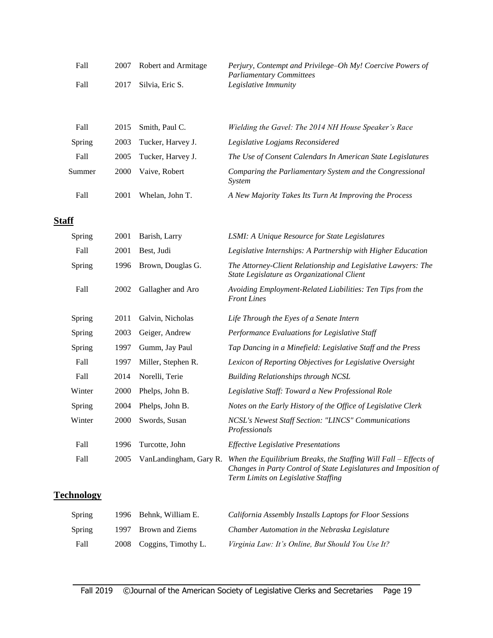| Fall | 2007 Robert and Armitage | Perjury, Contempt and Privilege–Oh My! Coercive Powers of |
|------|--------------------------|-----------------------------------------------------------|
|      |                          | <b>Parliamentary Committees</b>                           |
| Fall | 2017 Silvia, Eric S.     | Legislative Immunity                                      |

| Fall   |      | 2015 Smith, Paul C. | Wielding the Gavel: The 2014 NH House Speaker's Race               |
|--------|------|---------------------|--------------------------------------------------------------------|
| Spring | 2003 | Tucker, Harvey J.   | Legislative Logjams Reconsidered                                   |
| Fall   | 2005 | Tucker, Harvey J.   | The Use of Consent Calendars In American State Legislatures        |
| Summer | 2000 | Vaive, Robert       | Comparing the Parliamentary System and the Congressional<br>System |
| Fall   | 2001 | Whelan, John T.     | A New Majority Takes Its Turn At Improving the Process             |

#### **Staff**

| Spring | 2001 | Barish, Larry          | LSMI: A Unique Resource for State Legislatures                                                                                                                                |
|--------|------|------------------------|-------------------------------------------------------------------------------------------------------------------------------------------------------------------------------|
| Fall   | 2001 | Best, Judi             | Legislative Internships: A Partnership with Higher Education                                                                                                                  |
| Spring | 1996 | Brown, Douglas G.      | The Attorney-Client Relationship and Legislative Lawyers: The<br>State Legislature as Organizational Client                                                                   |
| Fall   | 2002 | Gallagher and Aro      | Avoiding Employment-Related Liabilities: Ten Tips from the<br><b>Front Lines</b>                                                                                              |
| Spring | 2011 | Galvin, Nicholas       | Life Through the Eyes of a Senate Intern                                                                                                                                      |
| Spring | 2003 | Geiger, Andrew         | Performance Evaluations for Legislative Staff                                                                                                                                 |
| Spring | 1997 | Gumm, Jay Paul         | Tap Dancing in a Minefield: Legislative Staff and the Press                                                                                                                   |
| Fall   | 1997 | Miller, Stephen R.     | Lexicon of Reporting Objectives for Legislative Oversight                                                                                                                     |
| Fall   | 2014 | Norelli, Terie         | <b>Building Relationships through NCSL</b>                                                                                                                                    |
| Winter | 2000 | Phelps, John B.        | Legislative Staff: Toward a New Professional Role                                                                                                                             |
| Spring | 2004 | Phelps, John B.        | Notes on the Early History of the Office of Legislative Clerk                                                                                                                 |
| Winter | 2000 | Swords, Susan          | NCSL's Newest Staff Section: "LINCS" Communications<br>Professionals                                                                                                          |
| Fall   | 1996 | Turcotte, John         | <b>Effective Legislative Presentations</b>                                                                                                                                    |
| Fall   | 2005 | VanLandingham, Gary R. | When the Equilibrium Breaks, the Staffing Will Fall $-$ Effects of<br>Changes in Party Control of State Legislatures and Imposition of<br>Term Limits on Legislative Staffing |

# **Technology**

| Spring | 1996 Behnk. William E.   | California Assembly Installs Laptops for Floor Sessions |
|--------|--------------------------|---------------------------------------------------------|
| Spring | 1997 Brown and Ziems     | Chamber Automation in the Nebraska Legislature          |
| Fall   | 2008 Coggins, Timothy L. | Virginia Law: It's Online, But Should You Use It?       |